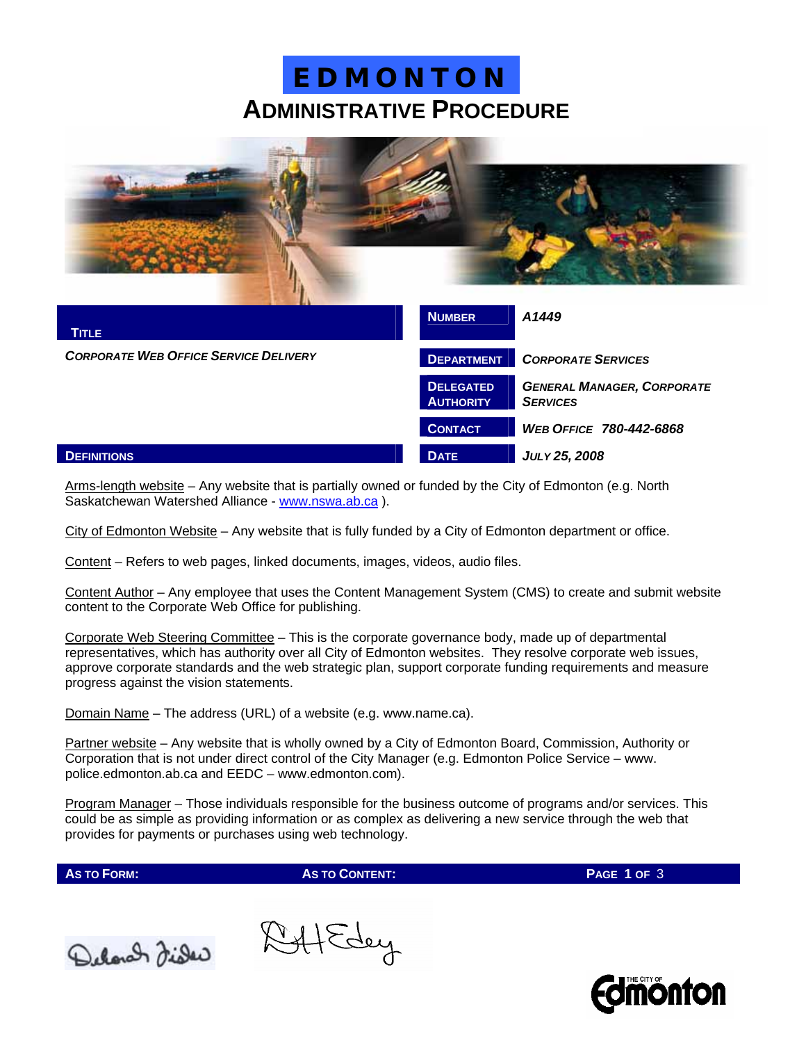### **ADMINISTRATIVE PROCEDURE E D M O N T O N**



| <b>TITLE</b>                                 | <b>NUMBER</b>                        | A1449                                                |
|----------------------------------------------|--------------------------------------|------------------------------------------------------|
| <b>CORPORATE WEB OFFICE SERVICE DELIVERY</b> | <b>DEPARTMENT</b>                    | <b>CORPORATE SERVICES</b>                            |
|                                              | <b>DELEGATED</b><br><b>AUTHORITY</b> | <b>GENERAL MANAGER, CORPORATE</b><br><b>SERVICES</b> |
|                                              | <b>CONTACT</b>                       | <b>WEB OFFICE 780-442-6868</b>                       |
| <b>DEFINITIONS</b>                           | <b>DATE</b>                          | JULY 25, 2008                                        |

Arms-length website – Any website that is partially owned or funded by the City of Edmonton (e.g. North Saskatchewan Watershed Alliance - [www.nswa.ab.ca](http://www.nswa.ab.ca/) ).

City of Edmonton Website – Any website that is fully funded by a City of Edmonton department or office.

Content – Refers to web pages, linked documents, images, videos, audio files.

Content Author – Any employee that uses the Content Management System (CMS) to create and submit website content to the Corporate Web Office for publishing.

Corporate Web Steering Committee – This is the corporate governance body, made up of departmental representatives, which has authority over all City of Edmonton websites. They resolve corporate web issues, approve corporate standards and the web strategic plan, support corporate funding requirements and measure progress against the vision statements.

Domain Name – The address (URL) of a website (e.g. www.name.ca).

Partner website – Any website that is wholly owned by a City of Edmonton Board, Commission, Authority or Corporation that is not under direct control of the City Manager (e.g. Edmonton Police Service – www. police.edmonton.ab.ca and EEDC – www.edmonton.com).

Program Manager – Those individuals responsible for the business outcome of programs and/or services. This could be as simple as providing information or as complex as delivering a new service through the web that provides for payments or purchases using web technology.

**AS TO FORM: AS TO CONTENT: PAGE 1 OF** 3



IffEdey

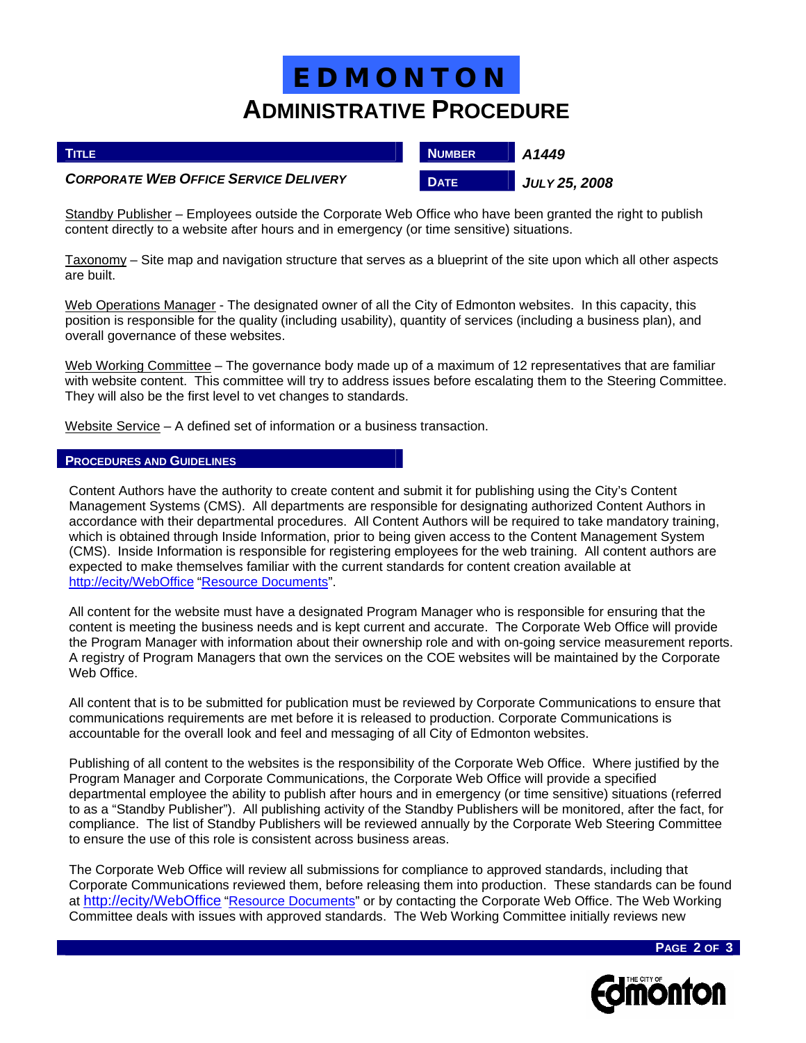## **ADMINISTRATIVE PROCEDURE E D M O N T O N**

| <b>TITLE</b>                                 | <b>NUMBER</b> | A1449                |
|----------------------------------------------|---------------|----------------------|
| <b>CORPORATE WEB OFFICE SERVICE DELIVERY</b> | <b>DATE</b>   | <b>JULY 25, 2008</b> |

Standby Publisher – Employees outside the Corporate Web Office who have been granted the right to publish content directly to a website after hours and in emergency (or time sensitive) situations.

Taxonomy – Site map and navigation structure that serves as a blueprint of the site upon which all other aspects are built.

Web Operations Manager - The designated owner of all the City of Edmonton websites. In this capacity, this position is responsible for the quality (including usability), quantity of services (including a business plan), and overall governance of these websites.

Web Working Committee – The governance body made up of a maximum of 12 representatives that are familiar with website content. This committee will try to address issues before escalating them to the Steering Committee. They will also be the first level to vet changes to standards.

Website Service – A defined set of information or a business transaction.

#### **PROCEDURES AND GUIDELINES**

Content Authors have the authority to create content and submit it for publishing using the City's Content Management Systems (CMS). All departments are responsible for designating authorized Content Authors in accordance with their departmental procedures. All Content Authors will be required to take mandatory training, which is obtained through Inside Information, prior to being given access to the Content Management System (CMS). Inside Information is responsible for registering employees for the web training. All content authors are expected to make themselves familiar with the current standards for content creation available at [http://ecity/WebOffice](http://ecity/webrenewal) ["Resource Documents](http://ecity/cityprojects/web_renewal/resource-documents.aspx)".

All content for the website must have a designated Program Manager who is responsible for ensuring that the content is meeting the business needs and is kept current and accurate. The Corporate Web Office will provide the Program Manager with information about their ownership role and with on-going service measurement reports. A registry of Program Managers that own the services on the COE websites will be maintained by the Corporate Web Office.

All content that is to be submitted for publication must be reviewed by Corporate Communications to ensure that communications requirements are met before it is released to production. Corporate Communications is accountable for the overall look and feel and messaging of all City of Edmonton websites.

Publishing of all content to the websites is the responsibility of the Corporate Web Office. Where justified by the Program Manager and Corporate Communications, the Corporate Web Office will provide a specified departmental employee the ability to publish after hours and in emergency (or time sensitive) situations (referred to as a "Standby Publisher"). All publishing activity of the Standby Publishers will be monitored, after the fact, for compliance. The list of Standby Publishers will be reviewed annually by the Corporate Web Steering Committee to ensure the use of this role is consistent across business areas.

The Corporate Web Office will review all submissions for compliance to approved standards, including that Corporate Communications reviewed them, before releasing them into production. These standards can be found at [http://ecity/WebOffice](http://ecity/webrenewal) "[Resource Documents](http://ecity/cityprojects/web_renewal/resource-documents.aspx)" or by contacting the Corporate Web Office. The Web Working Committee deals with issues with approved standards. The Web Working Committee initially reviews new



**PAGE 2 OF 3**